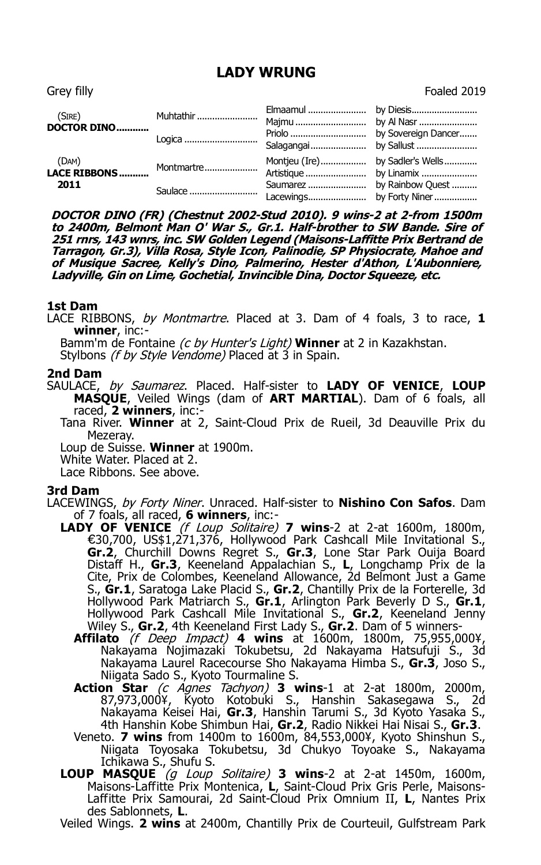# **LADY WRUNG** Grey filly Foaled 2019

| (SIRE)<br><b>DOCTOR DINO</b>            | Muhtathir  |  |
|-----------------------------------------|------------|--|
|                                         | Logica     |  |
| (DAM)<br>$(DAM)$<br><b>LACE RIBBONS</b> | Montmartre |  |
| 2011                                    | Saulace    |  |

**DOCTOR DINO (FR) (Chestnut 2002-Stud 2010). 9 wins-2 at 2-from 1500m to 2400m, Belmont Man O' War S., Gr.1. Half-brother to SW Bande. Sire of 251 rnrs, 143 wnrs, inc. SW Golden Legend (Maisons-Laffitte Prix Bertrand de Tarragon, Gr.3), Villa Rosa, Style Icon, Palinodie, SP Physiocrate, Mahoe and of Musique Sacree, Kelly's Dino, Palmerino, Hester d'Athon, L'Aubonniere, Ladyville, Gin on Lime, Gochetial, Invincible Dina, Doctor Squeeze, etc.**

### **1st Dam**

LACE RIBBONS, by Montmartre. Placed at 3. Dam of 4 foals, 3 to race, **1 winner**, inc:-

Bamm'm de Fontaine (c by Hunter's Light) **Winner** at 2 in Kazakhstan.

Stylbons (f by Style Vendome) Placed at 3 in Spain.

### **2nd Dam**

SAULACE, by Saumarez. Placed. Half-sister to **LADY OF VENICE**, **LOUP MASQUE**, Veiled Wings (dam of **ART MARTIAL**). Dam of 6 foals, all raced, **2 winners**, inc:-

Tana River. **Winner** at 2, Saint-Cloud Prix de Rueil, 3d Deauville Prix du Mezeray.

Loup de Suisse. **Winner** at 1900m.

White Water. Placed at 2.

Lace Ribbons. See above.

## **3rd Dam**

- LACEWINGS, by Forty Niner. Unraced. Half-sister to **Nishino Con Safos**. Dam of 7 foals, all raced, **6 winners**, inc:-
	- **LADY OF VENICE** (f Loup Solitaire) **7 wins**-2 at 2-at 1600m, 1800m, €30,700, US\$1,271,376, Hollywood Park Cashcall Mile Invitational S., **Gr.2**, Churchill Downs Regret S., **Gr.3**, Lone Star Park Ouija Board Distaff H., **Gr.3**, Keeneland Appalachian S., **L**, Longchamp Prix de la Cite, Prix de Colombes, Keeneland Allowance, 2d Belmont Just a Game S., **Gr.1**, Saratoga Lake Placid S., **Gr.2**, Chantilly Prix de la Forterelle, 3d Hollywood Park Matriarch S., **Gr.1**, Arlington Park Beverly D S., **Gr.1**, Hollywood Park Cashcall Mile Invitational S., **Gr.2**, Keeneland Jenny Wiley S., **Gr.2**, 4th Keeneland First Lady S., **Gr.2**. Dam of 5 winners-
		- **Affilato** (f Deep Impact) **4 wins** at 1600m, 1800m, 75,955,000¥, Nakayama Nojimazaki Tokubetsu, 2d Nakayama Hatsufuji S., 3d Nakayama Laurel Racecourse Sho Nakayama Himba S., **Gr.3**, Joso S., Niigata Sado S., Kyoto Tourmaline S.
		- **Action Star** (c Agnes Tachyon) **3 wins**-1 at 2-at 1800m, 2000m, 87,973,000¥, Kyoto Kotobuki S., Hanshin Sakasegawa S., 2d Nakayama Keisei Hai, **Gr.3**, Hanshin Tarumi S., 3d Kyoto Yasaka S., 4th Hanshin Kobe Shimbun Hai, **Gr.2**, Radio Nikkei Hai Nisai S., **Gr.3**.
		- Veneto. **7 wins** from 1400m to 1600m, 84,553,000¥, Kyoto Shinshun S., Niigata Toyosaka Tokubetsu, 3d Chukyo Toyoake S., Nakayama Ichikawa S., Shufu S.
	- **LOUP MASQUE** (g Loup Solitaire) **3 wins**-2 at 2-at 1450m, 1600m, Maisons-Laffitte Prix Montenica, L, Saint-Cloud Prix Gris Perle, Maisons-Laffitte Prix Samourai, 2d Saint-Cloud Prix Omnium II, **L**, Nantes Prix des Sablonnets, **L**.

Veiled Wings. **2 wins** at 2400m, Chantilly Prix de Courteuil, Gulfstream Park